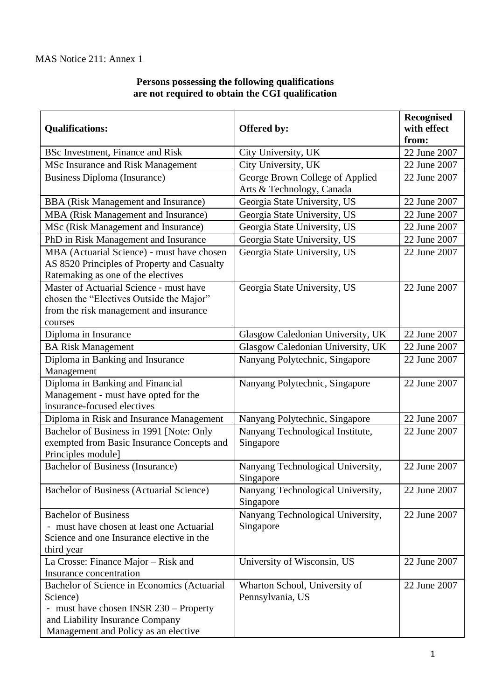## **Persons possessing the following qualifications are not required to obtain the CGI qualification**

| <b>Qualifications:</b>                                                                                                                                                       | Offered by:                                                  | Recognised<br>with effect<br>from: |
|------------------------------------------------------------------------------------------------------------------------------------------------------------------------------|--------------------------------------------------------------|------------------------------------|
| <b>BSc Investment, Finance and Risk</b>                                                                                                                                      | City University, UK                                          | 22 June 2007                       |
| MSc Insurance and Risk Management                                                                                                                                            | City University, UK                                          | 22 June 2007                       |
| <b>Business Diploma (Insurance)</b>                                                                                                                                          | George Brown College of Applied<br>Arts & Technology, Canada | 22 June 2007                       |
| <b>BBA</b> (Risk Management and Insurance)                                                                                                                                   | Georgia State University, US                                 | 22 June 2007                       |
| MBA (Risk Management and Insurance)                                                                                                                                          | Georgia State University, US                                 | 22 June 2007                       |
| MSc (Risk Management and Insurance)                                                                                                                                          | Georgia State University, US                                 | 22 June 2007                       |
| PhD in Risk Management and Insurance                                                                                                                                         | Georgia State University, US                                 | 22 June 2007                       |
| MBA (Actuarial Science) - must have chosen<br>AS 8520 Principles of Property and Casualty<br>Ratemaking as one of the electives                                              | Georgia State University, US                                 | 22 June 2007                       |
| Master of Actuarial Science - must have<br>chosen the "Electives Outside the Major"<br>from the risk management and insurance<br>courses                                     | Georgia State University, US                                 | 22 June 2007                       |
| Diploma in Insurance                                                                                                                                                         | Glasgow Caledonian University, UK                            | 22 June 2007                       |
| <b>BA Risk Management</b>                                                                                                                                                    | Glasgow Caledonian University, UK                            | 22 June 2007                       |
| Diploma in Banking and Insurance<br>Management                                                                                                                               | Nanyang Polytechnic, Singapore                               | 22 June 2007                       |
| Diploma in Banking and Financial<br>Management - must have opted for the<br>insurance-focused electives                                                                      | Nanyang Polytechnic, Singapore                               | 22 June 2007                       |
| Diploma in Risk and Insurance Management                                                                                                                                     | Nanyang Polytechnic, Singapore                               | 22 June 2007                       |
| Bachelor of Business in 1991 [Note: Only<br>exempted from Basic Insurance Concepts and<br>Principles module]                                                                 | Nanyang Technological Institute,<br>Singapore                | 22 June 2007                       |
| <b>Bachelor of Business (Insurance)</b>                                                                                                                                      | Nanyang Technological University,<br>Singapore               | 22 June 2007                       |
| Bachelor of Business (Actuarial Science)                                                                                                                                     | Nanyang Technological University,<br>Singapore               | 22 June 2007                       |
| <b>Bachelor of Business</b><br>- must have chosen at least one Actuarial<br>Science and one Insurance elective in the<br>third year                                          | Nanyang Technological University,<br>Singapore               | 22 June 2007                       |
| La Crosse: Finance Major – Risk and<br>Insurance concentration                                                                                                               | University of Wisconsin, US                                  | 22 June 2007                       |
| Bachelor of Science in Economics (Actuarial<br>Science)<br>- must have chosen INSR 230 – Property<br>and Liability Insurance Company<br>Management and Policy as an elective | Wharton School, University of<br>Pennsylvania, US            | 22 June 2007                       |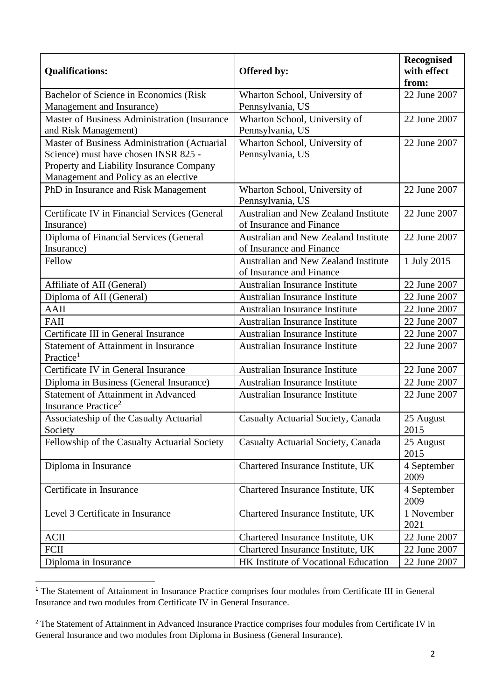| <b>Qualifications:</b>                                                                                                                                                   | Offered by:                                                             | <b>Recognised</b><br>with effect<br>from: |
|--------------------------------------------------------------------------------------------------------------------------------------------------------------------------|-------------------------------------------------------------------------|-------------------------------------------|
| Bachelor of Science in Economics (Risk                                                                                                                                   | Wharton School, University of                                           | 22 June 2007                              |
| Management and Insurance)                                                                                                                                                | Pennsylvania, US                                                        |                                           |
| Master of Business Administration (Insurance<br>and Risk Management)                                                                                                     | Wharton School, University of<br>Pennsylvania, US                       | 22 June 2007                              |
| Master of Business Administration (Actuarial<br>Science) must have chosen INSR 825 -<br>Property and Liability Insurance Company<br>Management and Policy as an elective | Wharton School, University of<br>Pennsylvania, US                       | 22 June 2007                              |
| PhD in Insurance and Risk Management                                                                                                                                     | Wharton School, University of<br>Pennsylvania, US                       | 22 June 2007                              |
| Certificate IV in Financial Services (General<br>Insurance)                                                                                                              | Australian and New Zealand Institute<br>of Insurance and Finance        | 22 June 2007                              |
| Diploma of Financial Services (General<br>Insurance)                                                                                                                     | Australian and New Zealand Institute<br>of Insurance and Finance        | 22 June 2007                              |
| Fellow                                                                                                                                                                   | <b>Australian and New Zealand Institute</b><br>of Insurance and Finance | 1 July 2015                               |
| Affiliate of AII (General)                                                                                                                                               | Australian Insurance Institute                                          | 22 June 2007                              |
| Diploma of AII (General)                                                                                                                                                 | <b>Australian Insurance Institute</b>                                   | 22 June 2007                              |
| <b>AAII</b>                                                                                                                                                              | <b>Australian Insurance Institute</b>                                   | 22 June 2007                              |
| FAII                                                                                                                                                                     | <b>Australian Insurance Institute</b>                                   | 22 June 2007                              |
| Certificate III in General Insurance                                                                                                                                     | <b>Australian Insurance Institute</b>                                   | 22 June 2007                              |
| <b>Statement of Attainment in Insurance</b><br>Practice <sup>1</sup>                                                                                                     | Australian Insurance Institute                                          | 22 June 2007                              |
| Certificate IV in General Insurance                                                                                                                                      | <b>Australian Insurance Institute</b>                                   | 22 June 2007                              |
| Diploma in Business (General Insurance)                                                                                                                                  | <b>Australian Insurance Institute</b>                                   | 22 June 2007                              |
| Statement of Attainment in Advanced<br>Insurance Practice <sup>2</sup>                                                                                                   | <b>Australian Insurance Institute</b>                                   | 22 June 2007                              |
| Associateship of the Casualty Actuarial<br>Society                                                                                                                       | Casualty Actuarial Society, Canada                                      | 25 August<br>2015                         |
| Fellowship of the Casualty Actuarial Society                                                                                                                             | Casualty Actuarial Society, Canada                                      | 25 August<br>2015                         |
| Diploma in Insurance                                                                                                                                                     | Chartered Insurance Institute, UK                                       | 4 September<br>2009                       |
| Certificate in Insurance                                                                                                                                                 | Chartered Insurance Institute, UK                                       | 4 September<br>2009                       |
| Level 3 Certificate in Insurance                                                                                                                                         | Chartered Insurance Institute, UK                                       | 1 November<br>2021                        |
| <b>ACII</b>                                                                                                                                                              | Chartered Insurance Institute, UK                                       | 22 June 2007                              |
| <b>FCII</b>                                                                                                                                                              | Chartered Insurance Institute, UK                                       | 22 June 2007                              |
| Diploma in Insurance                                                                                                                                                     | HK Institute of Vocational Education                                    | 22 June 2007                              |

<sup>&</sup>lt;sup>1</sup> The Statement of Attainment in Insurance Practice comprises four modules from Certificate III in General Insurance and two modules from Certificate IV in General Insurance.

<sup>&</sup>lt;sup>2</sup> The Statement of Attainment in Advanced Insurance Practice comprises four modules from Certificate IV in General Insurance and two modules from Diploma in Business (General Insurance).